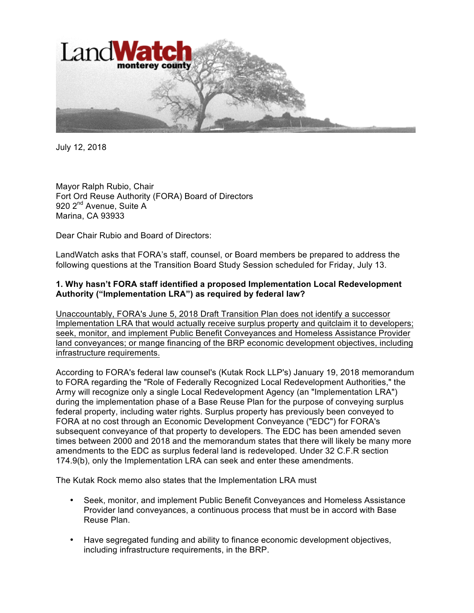

July 12, 2018

Mayor Ralph Rubio, Chair Fort Ord Reuse Authority (FORA) Board of Directors 920 2<sup>nd</sup> Avenue, Suite A Marina, CA 93933

Dear Chair Rubio and Board of Directors:

LandWatch asks that FORA's staff, counsel, or Board members be prepared to address the following questions at the Transition Board Study Session scheduled for Friday, July 13.

## **1. Why hasn't FORA staff identified a proposed Implementation Local Redevelopment Authority ("Implementation LRA") as required by federal law?**

Unaccountably, FORA's June 5, 2018 Draft Transition Plan does not identify a successor Implementation LRA that would actually receive surplus property and quitclaim it to developers; seek, monitor, and implement Public Benefit Conveyances and Homeless Assistance Provider land conveyances; or mange financing of the BRP economic development objectives, including infrastructure requirements.

According to FORA's federal law counsel's (Kutak Rock LLP's) January 19, 2018 memorandum to FORA regarding the "Role of Federally Recognized Local Redevelopment Authorities," the Army will recognize only a single Local Redevelopment Agency (an "Implementation LRA") during the implementation phase of a Base Reuse Plan for the purpose of conveying surplus federal property, including water rights. Surplus property has previously been conveyed to FORA at no cost through an Economic Development Conveyance ("EDC") for FORA's subsequent conveyance of that property to developers. The EDC has been amended seven times between 2000 and 2018 and the memorandum states that there will likely be many more amendments to the EDC as surplus federal land is redeveloped. Under 32 C.F.R section 174.9(b), only the Implementation LRA can seek and enter these amendments.

The Kutak Rock memo also states that the Implementation LRA must

- Seek, monitor, and implement Public Benefit Conveyances and Homeless Assistance Provider land conveyances, a continuous process that must be in accord with Base Reuse Plan.
- Have segregated funding and ability to finance economic development objectives, including infrastructure requirements, in the BRP.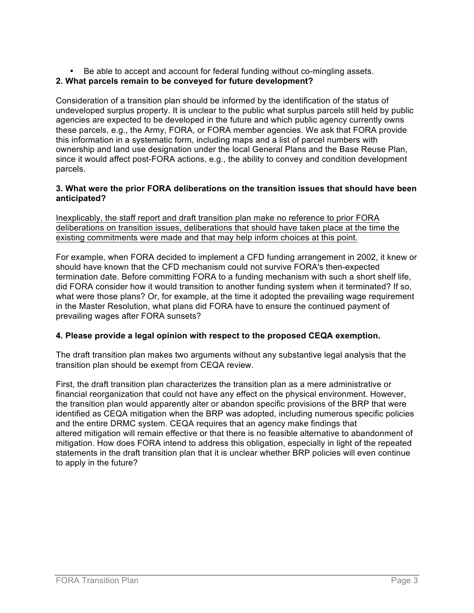• Be able to accept and account for federal funding without co-mingling assets.

## **2. What parcels remain to be conveyed for future development?**

Consideration of a transition plan should be informed by the identification of the status of undeveloped surplus property. It is unclear to the public what surplus parcels still held by public agencies are expected to be developed in the future and which public agency currently owns these parcels, e.g., the Army, FORA, or FORA member agencies. We ask that FORA provide this information in a systematic form, including maps and a list of parcel numbers with ownership and land use designation under the local General Plans and the Base Reuse Plan, since it would affect post-FORA actions, e.g., the ability to convey and condition development parcels.

## **3. What were the prior FORA deliberations on the transition issues that should have been anticipated?**

Inexplicably, the staff report and draft transition plan make no reference to prior FORA deliberations on transition issues, deliberations that should have taken place at the time the existing commitments were made and that may help inform choices at this point.

For example, when FORA decided to implement a CFD funding arrangement in 2002, it knew or should have known that the CFD mechanism could not survive FORA's then-expected termination date. Before committing FORA to a funding mechanism with such a short shelf life, did FORA consider how it would transition to another funding system when it terminated? If so, what were those plans? Or, for example, at the time it adopted the prevailing wage requirement in the Master Resolution, what plans did FORA have to ensure the continued payment of prevailing wages after FORA sunsets?

## **4. Please provide a legal opinion with respect to the proposed CEQA exemption.**

The draft transition plan makes two arguments without any substantive legal analysis that the transition plan should be exempt from CEQA review.

First, the draft transition plan characterizes the transition plan as a mere administrative or financial reorganization that could not have any effect on the physical environment. However, the transition plan would apparently alter or abandon specific provisions of the BRP that were identified as CEQA mitigation when the BRP was adopted, including numerous specific policies and the entire DRMC system. CEQA requires that an agency make findings that altered mitigation will remain effective or that there is no feasible alternative to abandonment of mitigation. How does FORA intend to address this obligation, especially in light of the repeated statements in the draft transition plan that it is unclear whether BRP policies will even continue to apply in the future?